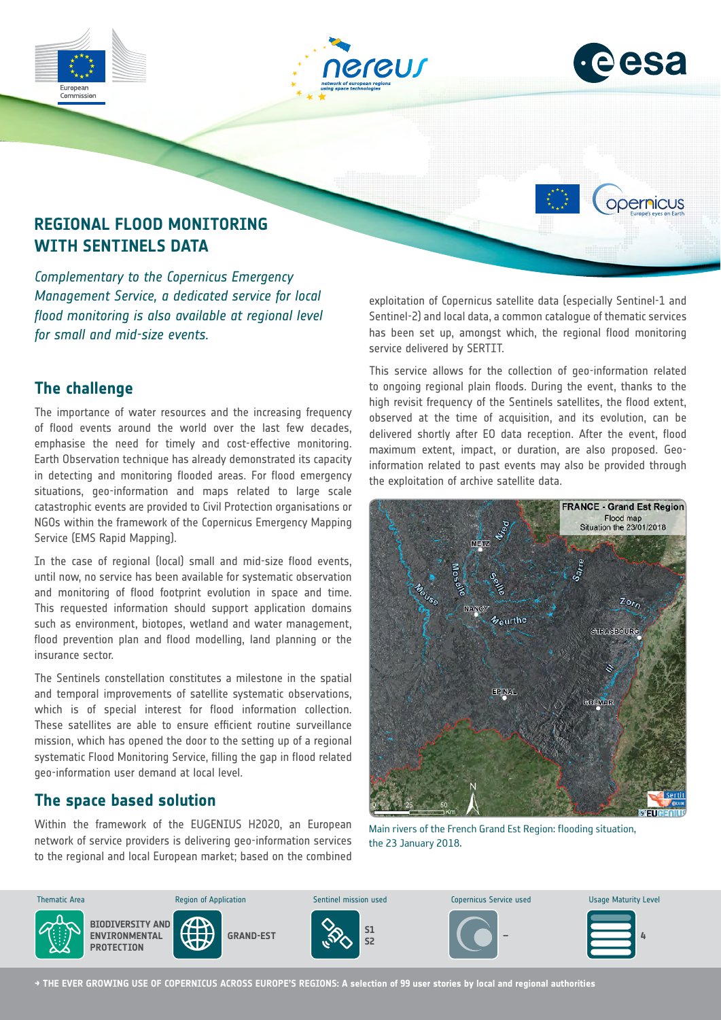





opernicus

# **REGIONAL FLOOD MONITORING WITH SENTINELS DATA**

*Complementary to the Copernicus Emergency Management Service, a dedicated service for local flood monitoring is also available at regional level for small and mid-size events.*

### **The challenge**

The importance of water resources and the increasing frequency of flood events around the world over the last few decades, emphasise the need for timely and cost-effective monitoring. Earth Observation technique has already demonstrated its capacity in detecting and monitoring flooded areas. For flood emergency situations, geo-information and maps related to large scale catastrophic events are provided to Civil Protection organisations or NGOs within the framework of the Copernicus Emergency Mapping Service (EMS Rapid Mapping).

In the case of regional (local) small and mid-size flood events, until now, no service has been available for systematic observation and monitoring of flood footprint evolution in space and time. This requested information should support application domains such as environment, biotopes, wetland and water management, flood prevention plan and flood modelling, land planning or the insurance sector.

The Sentinels constellation constitutes a milestone in the spatial and temporal improvements of satellite systematic observations, which is of special interest for flood information collection. These satellites are able to ensure efficient routine surveillance mission, which has opened the door to the setting up of a regional systematic Flood Monitoring Service, filling the gap in flood related geo-information user demand at local level.

# **The space based solution**

Within the framework of the EUGENIUS H2020, an European network of service providers is delivering geo-information services to the regional and local European market; based on the combined

exploitation of Copernicus satellite data (especially Sentinel-1 and Sentinel-2) and local data, a common catalogue of thematic services has been set up, amongst which, the regional flood monitoring service delivered by SERTIT.

This service allows for the collection of geo-information related to ongoing regional plain floods. During the event, thanks to the high revisit frequency of the Sentinels satellites, the flood extent, observed at the time of acquisition, and its evolution, can be delivered shortly after EO data reception. After the event, flood maximum extent, impact, or duration, are also proposed. Geoinformation related to past events may also be provided through the exploitation of archive satellite data.



Main rivers of the French Grand Est Region: flooding situation, the 23 January 2018.



**→ THE EVER GROWING USE OF COPERNICUS ACROSS EUROPE'S REGIONS: A selection of 99 user stories by local and regional authorities**